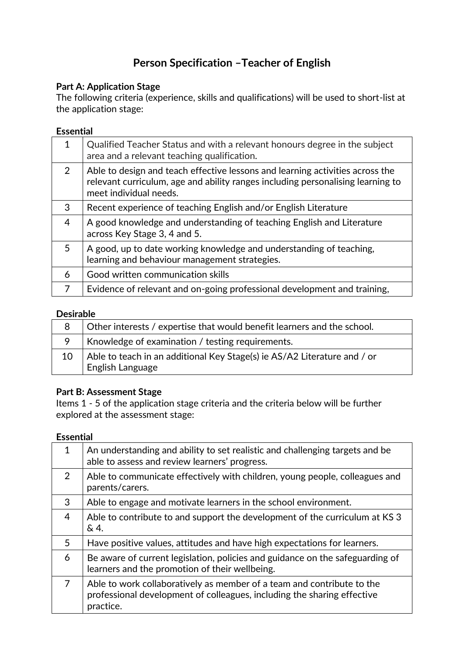# **Person Specification –Teacher of English**

## **Part A: Application Stage**

The following criteria (experience, skills and qualifications) will be used to short-list at the application stage:

## **Essential**

| $\mathbf{1}$   | Qualified Teacher Status and with a relevant honours degree in the subject<br>area and a relevant teaching qualification.                                                                  |
|----------------|--------------------------------------------------------------------------------------------------------------------------------------------------------------------------------------------|
| $\overline{2}$ | Able to design and teach effective lessons and learning activities across the<br>relevant curriculum, age and ability ranges including personalising learning to<br>meet individual needs. |
| 3              | Recent experience of teaching English and/or English Literature                                                                                                                            |
| 4              | A good knowledge and understanding of teaching English and Literature<br>across Key Stage 3, 4 and 5.                                                                                      |
| 5              | A good, up to date working knowledge and understanding of teaching,<br>learning and behaviour management strategies.                                                                       |
| 6              | Good written communication skills                                                                                                                                                          |
| 7              | Evidence of relevant and on-going professional development and training,                                                                                                                   |

#### **Desirable**

| 8  | Other interests / expertise that would benefit learners and the school.                      |
|----|----------------------------------------------------------------------------------------------|
|    | Knowledge of examination / testing requirements.                                             |
| 10 | Able to teach in an additional Key Stage(s) ie AS/A2 Literature and / or<br>English Language |

## **Part B: Assessment Stage**

Items 1 - 5 of the application stage criteria and the criteria below will be further explored at the assessment stage:

#### **Essential**

| $\mathbf 1$    | An understanding and ability to set realistic and challenging targets and be<br>able to assess and review learners' progress.                                  |
|----------------|----------------------------------------------------------------------------------------------------------------------------------------------------------------|
| 2              | Able to communicate effectively with children, young people, colleagues and<br>parents/carers.                                                                 |
| 3              | Able to engage and motivate learners in the school environment.                                                                                                |
| $\overline{4}$ | Able to contribute to and support the development of the curriculum at KS 3<br>&4.                                                                             |
| 5              | Have positive values, attitudes and have high expectations for learners.                                                                                       |
| 6              | Be aware of current legislation, policies and guidance on the safeguarding of<br>learners and the promotion of their wellbeing.                                |
| 7              | Able to work collaboratively as member of a team and contribute to the<br>professional development of colleagues, including the sharing effective<br>practice. |